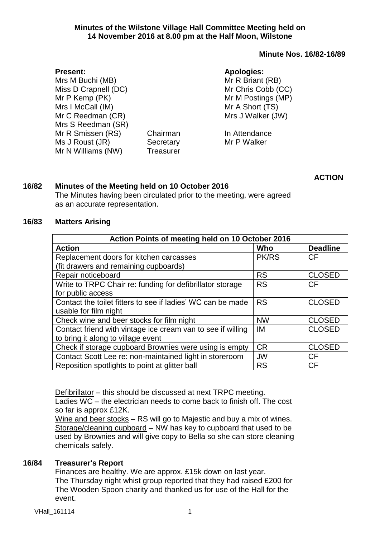## **Minute Nos. 16/82-16/89**

| <b>Present:</b>      |                  | <b>Apologies:</b>  |
|----------------------|------------------|--------------------|
| Mrs M Buchi (MB)     |                  | Mr R Briant (RB)   |
| Miss D Crapnell (DC) |                  | Mr Chris Cobb (CC) |
| Mr P Kemp (PK)       |                  | Mr M Postings (MP) |
| Mrs I McCall (IM)    |                  | Mr A Short (TS)    |
| Mr C Reedman (CR)    |                  | Mrs J Walker (JW)  |
| Mrs S Reedman (SR)   |                  |                    |
| Mr R Smissen (RS)    | Chairman         | In Attendance      |
| Ms J Roust (JR)      | Secretary        | Mr P Walker        |
| Mr N Williams (NW)   | <b>Treasurer</b> |                    |
|                      |                  |                    |

**ACTION**

## **16/82 Minutes of the Meeting held on 10 October 2016**

The Minutes having been circulated prior to the meeting, were agreed as an accurate representation.

### **16/83 Matters Arising**

| Action Points of meeting held on 10 October 2016            |              |                 |  |  |  |
|-------------------------------------------------------------|--------------|-----------------|--|--|--|
| <b>Action</b>                                               | Who          | <b>Deadline</b> |  |  |  |
| Replacement doors for kitchen carcasses                     | <b>PK/RS</b> | <b>CF</b>       |  |  |  |
| (fit drawers and remaining cupboards)                       |              |                 |  |  |  |
| Repair noticeboard                                          | <b>RS</b>    | <b>CLOSED</b>   |  |  |  |
| Write to TRPC Chair re: funding for defibrillator storage   | <b>RS</b>    | <b>CF</b>       |  |  |  |
| for public access                                           |              |                 |  |  |  |
| Contact the toilet fitters to see if ladies' WC can be made | <b>RS</b>    | <b>CLOSED</b>   |  |  |  |
| usable for film night                                       |              |                 |  |  |  |
| Check wine and beer stocks for film night                   | <b>NW</b>    | <b>CLOSED</b>   |  |  |  |
| Contact friend with vintage ice cream van to see if willing | IM           | <b>CLOSED</b>   |  |  |  |
| to bring it along to village event                          |              |                 |  |  |  |
| Check if storage cupboard Brownies were using is empty      | <b>CR</b>    | <b>CLOSED</b>   |  |  |  |
| Contact Scott Lee re: non-maintained light in storeroom     | <b>JW</b>    | <b>CF</b>       |  |  |  |
| Reposition spotlights to point at glitter ball              | <b>RS</b>    | CF              |  |  |  |

Defibrillator – this should be discussed at next TRPC meeting.

Ladies WC – the electrician needs to come back to finish off. The cost so far is approx £12K.

Wine and beer stocks - RS will go to Majestic and buy a mix of wines. Storage/cleaning cupboard – NW has key to cupboard that used to be used by Brownies and will give copy to Bella so she can store cleaning chemicals safely.

### **16/84 Treasurer's Report**

Finances are healthy. We are approx. £15k down on last year. The Thursday night whist group reported that they had raised £200 for The Wooden Spoon charity and thanked us for use of the Hall for the event.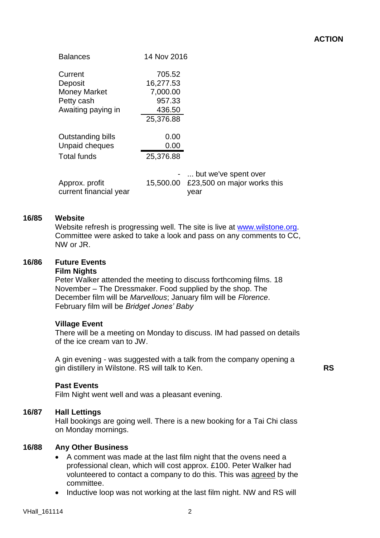# **ACTION**

| <b>Balances</b>                          | 14 Nov 2016 |                                     |
|------------------------------------------|-------------|-------------------------------------|
| Current                                  | 705.52      |                                     |
| Deposit                                  | 16,277.53   |                                     |
| <b>Money Market</b>                      | 7,000.00    |                                     |
| Petty cash                               | 957.33      |                                     |
| Awaiting paying in                       | 436.50      |                                     |
|                                          | 25,376.88   |                                     |
| Outstanding bills                        | 0.00        |                                     |
| Unpaid cheques                           | 0.00        |                                     |
| <b>Total funds</b>                       | 25,376.88   |                                     |
|                                          |             | -  but we've spent over             |
| Approx. profit<br>current financial year | 15,500.00   | £23,500 on major works this<br>vear |

### **16/85 Website**

Website refresh is progressing well. The site is live at [www.wilstone.org.](http://www.wilstone.org/) Committee were asked to take a look and pass on any comments to CC, NW or JR.

#### **16/86 Future Events Film Nights**

Peter Walker attended the meeting to discuss forthcoming films. 18 November – The Dressmaker. Food supplied by the shop. The December film will be *Marvellous*; January film will be *Florence*. February film will be *Bridget Jones' Baby*

### **Village Event**

There will be a meeting on Monday to discuss. IM had passed on details of the ice cream van to JW.

A gin evening - was suggested with a talk from the company opening a gin distillery in Wilstone. RS will talk to Ken.

**RS**

### **Past Events**

Film Night went well and was a pleasant evening.

### **16/87 Hall Lettings**

Hall bookings are going well. There is a new booking for a Tai Chi class on Monday mornings.

### **16/88 Any Other Business**

- A comment was made at the last film night that the ovens need a professional clean, which will cost approx. £100. Peter Walker had volunteered to contact a company to do this. This was agreed by the committee.
- Inductive loop was not working at the last film night. NW and RS will